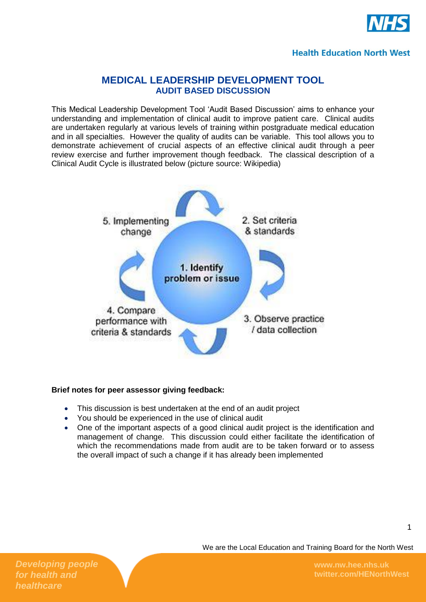

#### **Health Education North West**

## **MEDICAL LEADERSHIP DEVELOPMENT TOOL AUDIT BASED DISCUSSION**

This Medical Leadership Development Tool 'Audit Based Discussion' aims to enhance your understanding and implementation of clinical audit to improve patient care. Clinical audits are undertaken regularly at various levels of training within postgraduate medical education and in all specialties. However the quality of audits can be variable. This tool allows you to demonstrate achievement of crucial aspects of an effective clinical audit through a peer review exercise and further improvement though feedback. The classical description of a Clinical Audit Cycle is illustrated below (picture source: Wikipedia)



#### **Brief notes for peer assessor giving feedback:**

- This discussion is best undertaken at the end of an audit project
- You should be experienced in the use of clinical audit
- One of the important aspects of a good clinical audit project is the identification and management of change. This discussion could either facilitate the identification of which the recommendations made from audit are to be taken forward or to assess the overall impact of such a change if it has already been implemented

We are the Local Education and Training Board for the North West

*Developing people for health and healthcare*

**www.nw.hee.nhs.uk twitter.com/HENorthWest**

1